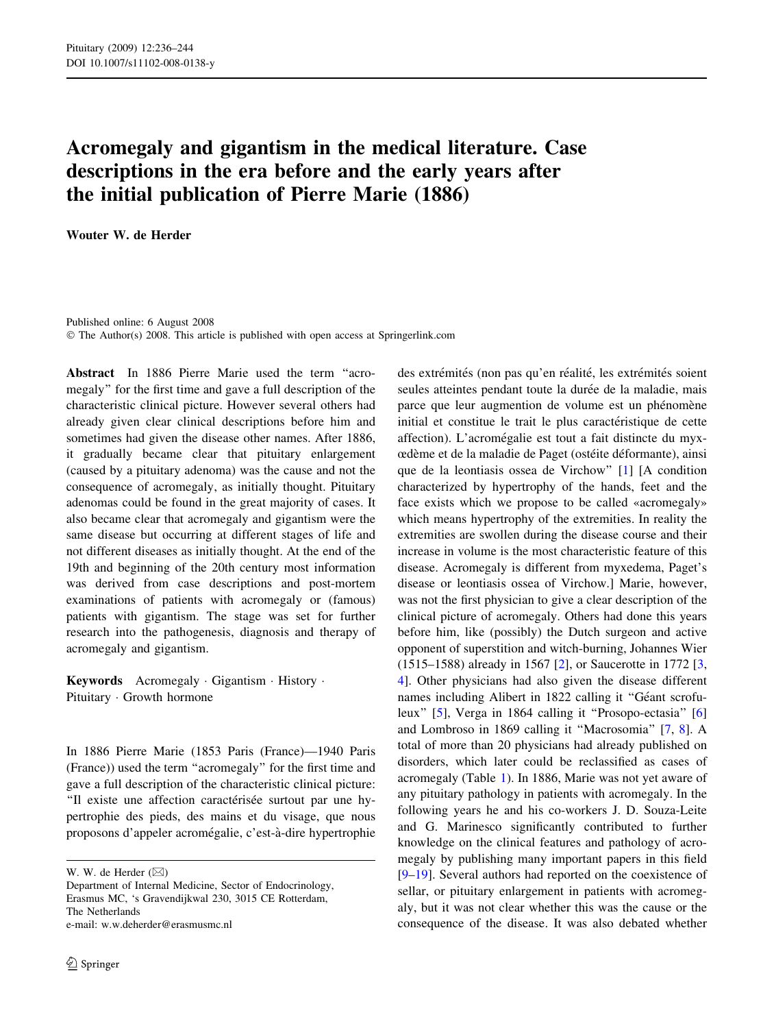## Acromegaly and gigantism in the medical literature. Case descriptions in the era before and the early years after the initial publication of Pierre Marie (1886)

Wouter W. de Herder

Published online: 6 August 2008  $\odot$  The Author(s) 2008. This article is published with open access at Springerlink.com

Abstract In 1886 Pierre Marie used the term ''acromegaly'' for the first time and gave a full description of the characteristic clinical picture. However several others had already given clear clinical descriptions before him and sometimes had given the disease other names. After 1886, it gradually became clear that pituitary enlargement (caused by a pituitary adenoma) was the cause and not the consequence of acromegaly, as initially thought. Pituitary adenomas could be found in the great majority of cases. It also became clear that acromegaly and gigantism were the same disease but occurring at different stages of life and not different diseases as initially thought. At the end of the 19th and beginning of the 20th century most information was derived from case descriptions and post-mortem examinations of patients with acromegaly or (famous) patients with gigantism. The stage was set for further research into the pathogenesis, diagnosis and therapy of acromegaly and gigantism.

**Keywords** Acromegaly  $\cdot$  Gigantism  $\cdot$  History  $\cdot$ Pituitary · Growth hormone

In 1886 Pierre Marie (1853 Paris (France)—1940 Paris (France)) used the term ''acromegaly'' for the first time and gave a full description of the characteristic clinical picture: "Il existe une affection caractérisée surtout par une hypertrophie des pieds, des mains et du visage, que nous proposons d'appeler acromégalie, c'est-à-dire hypertrophie

W. W. de Herder  $(\boxtimes)$ 

Department of Internal Medicine, Sector of Endocrinology, Erasmus MC, 's Gravendijkwal 230, 3015 CE Rotterdam, The Netherlands e-mail: w.w.deherder@erasmusmc.nl

des extrémités (non pas qu'en réalité, les extrémités soient seules atteintes pendant toute la durée de la maladie, mais parce que leur augmention de volume est un phénomène initial et constitue le trait le plus caractéristique de cette affection). L'acromégalie est tout a fait distincte du myxœde`me et de la maladie de Paget (oste´ite de´formante), ainsi que de la leontiasis ossea de Virchow'' [\[1](#page-7-0)] [A condition characterized by hypertrophy of the hands, feet and the face exists which we propose to be called «acromegaly» which means hypertrophy of the extremities. In reality the extremities are swollen during the disease course and their increase in volume is the most characteristic feature of this disease. Acromegaly is different from myxedema, Paget's disease or leontiasis ossea of Virchow.] Marie, however, was not the first physician to give a clear description of the clinical picture of acromegaly. Others had done this years before him, like (possibly) the Dutch surgeon and active opponent of superstition and witch-burning, Johannes Wier (1515–1588) already in 1567 [[2\]](#page-7-0), or Saucerotte in 1772 [[3,](#page-7-0) [4](#page-7-0)]. Other physicians had also given the disease different names including Alibert in 1822 calling it "Géant scrofuleux'' [[5](#page-7-0)], Verga in 1864 calling it ''Prosopo-ectasia'' [[6\]](#page-7-0) and Lombroso in 1869 calling it ''Macrosomia'' [[7,](#page-7-0) [8\]](#page-7-0). A total of more than 20 physicians had already published on disorders, which later could be reclassified as cases of acromegaly (Table [1](#page-1-0)). In 1886, Marie was not yet aware of any pituitary pathology in patients with acromegaly. In the following years he and his co-workers J. D. Souza-Leite and G. Marinesco significantly contributed to further knowledge on the clinical features and pathology of acromegaly by publishing many important papers in this field [\[9–19](#page-7-0)]. Several authors had reported on the coexistence of sellar, or pituitary enlargement in patients with acromegaly, but it was not clear whether this was the cause or the consequence of the disease. It was also debated whether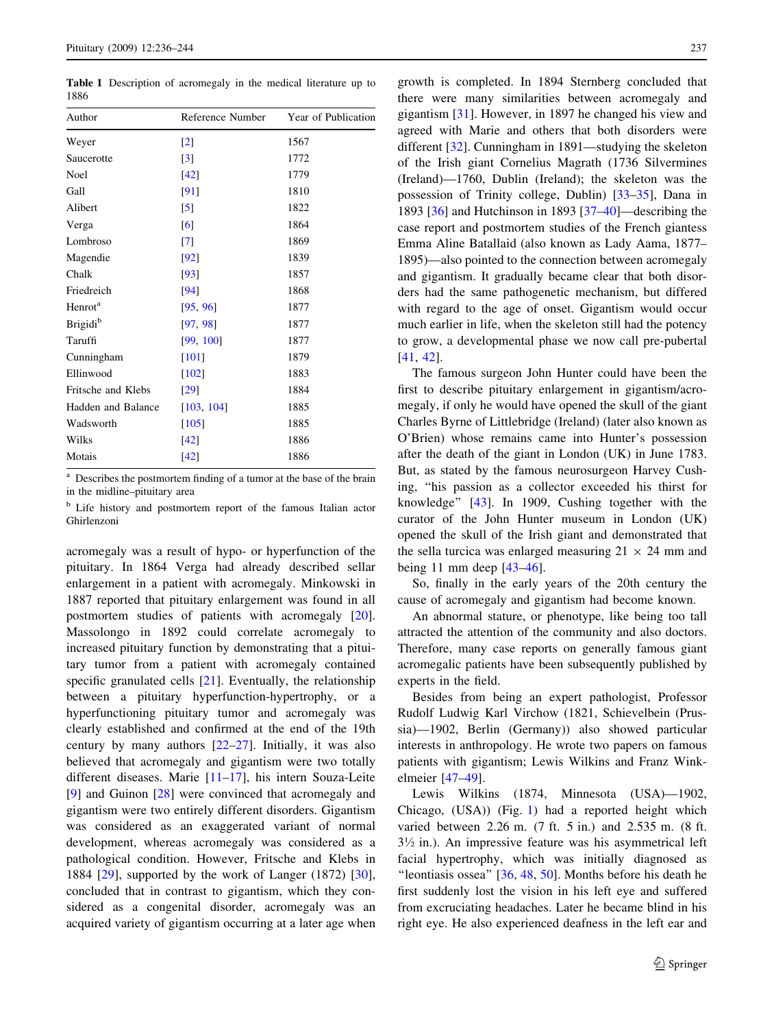<span id="page-1-0"></span>Table 1 Description of acromegaly in the medical literature up to 1886

| Author               | Reference Number  | Year of Publication |
|----------------------|-------------------|---------------------|
| Weyer                | $\lceil 2 \rceil$ | 1567                |
| Saucerotte           | $\lceil 3 \rceil$ | 1772                |
| Noel                 | [42]              | 1779                |
| Gall                 | [91]              | 1810                |
| Alibert              | $\lceil 5 \rceil$ | 1822                |
| Verga                | [6]               | 1864                |
| Lombroso             | $\lceil 7 \rceil$ | 1869                |
| Magendie             | [92]              | 1839                |
| Chalk                | [93]              | 1857                |
| Friedreich           | [94]              | 1868                |
| Henrot <sup>a</sup>  | [95, 96]          | 1877                |
| Brigidi <sup>b</sup> | [97, 98]          | 1877                |
| Taruffi              | [99, 100]         | 1877                |
| Cunningham           | $[101]$           | 1879                |
| Ellinwood            | $[102]$           | 1883                |
| Fritsche and Klebs   | [29]              | 1884                |
| Hadden and Balance   | [103, 104]        | 1885                |
| Wadsworth            | [105]             | 1885                |
| Wilks                | [42]              | 1886                |
| Motais               | [42]              | 1886                |

<sup>a</sup> Describes the postmortem finding of a tumor at the base of the brain in the midline–pituitary area

<sup>b</sup> Life history and postmortem report of the famous Italian actor Ghirlenzoni

acromegaly was a result of hypo- or hyperfunction of the pituitary. In 1864 Verga had already described sellar enlargement in a patient with acromegaly. Minkowski in 1887 reported that pituitary enlargement was found in all postmortem studies of patients with acromegaly [\[20](#page-7-0)]. Massolongo in 1892 could correlate acromegaly to increased pituitary function by demonstrating that a pituitary tumor from a patient with acromegaly contained specific granulated cells [[21\]](#page-7-0). Eventually, the relationship between a pituitary hyperfunction-hypertrophy, or a hyperfunctioning pituitary tumor and acromegaly was clearly established and confirmed at the end of the 19th century by many authors  $[22-27]$ . Initially, it was also believed that acromegaly and gigantism were two totally different diseases. Marie [\[11–17](#page-7-0)], his intern Souza-Leite [\[9](#page-7-0)] and Guinon [\[28](#page-7-0)] were convinced that acromegaly and gigantism were two entirely different disorders. Gigantism was considered as an exaggerated variant of normal development, whereas acromegaly was considered as a pathological condition. However, Fritsche and Klebs in 1884 [\[29](#page-7-0)], supported by the work of Langer (1872) [\[30](#page-7-0)], concluded that in contrast to gigantism, which they considered as a congenital disorder, acromegaly was an acquired variety of gigantism occurring at a later age when growth is completed. In 1894 Sternberg concluded that there were many similarities between acromegaly and gigantism [[31\]](#page-7-0). However, in 1897 he changed his view and agreed with Marie and others that both disorders were different [[32](#page-7-0)]. Cunningham in 1891—studying the skeleton of the Irish giant Cornelius Magrath (1736 Silvermines (Ireland)—1760, Dublin (Ireland); the skeleton was the possession of Trinity college, Dublin) [[33–35\]](#page-7-0), Dana in 1893 [[36\]](#page-7-0) and Hutchinson in 1893 [[37–40](#page-7-0)]—describing the case report and postmortem studies of the French giantess Emma Aline Batallaid (also known as Lady Aama, 1877– 1895)—also pointed to the connection between acromegaly and gigantism. It gradually became clear that both disorders had the same pathogenetic mechanism, but differed with regard to the age of onset. Gigantism would occur much earlier in life, when the skeleton still had the potency to grow, a developmental phase we now call pre-pubertal [\[41](#page-7-0), [42](#page-7-0)].

The famous surgeon John Hunter could have been the first to describe pituitary enlargement in gigantism/acromegaly, if only he would have opened the skull of the giant Charles Byrne of Littlebridge (Ireland) (later also known as O'Brien) whose remains came into Hunter's possession after the death of the giant in London (UK) in June 1783. But, as stated by the famous neurosurgeon Harvey Cushing, ''his passion as a collector exceeded his thirst for knowledge'' [[43\]](#page-7-0). In 1909, Cushing together with the curator of the John Hunter museum in London (UK) opened the skull of the Irish giant and demonstrated that the sella turcica was enlarged measuring  $21 \times 24$  mm and being 11 mm deep [\[43–46](#page-7-0)].

So, finally in the early years of the 20th century the cause of acromegaly and gigantism had become known.

An abnormal stature, or phenotype, like being too tall attracted the attention of the community and also doctors. Therefore, many case reports on generally famous giant acromegalic patients have been subsequently published by experts in the field.

Besides from being an expert pathologist, Professor Rudolf Ludwig Karl Virchow (1821, Schievelbein (Prussia)—1902, Berlin (Germany)) also showed particular interests in anthropology. He wrote two papers on famous patients with gigantism; Lewis Wilkins and Franz Winkelmeier [[47–49\]](#page-7-0).

Lewis Wilkins (1874, Minnesota (USA)—1902, Chicago, (USA)) (Fig. [1\)](#page-2-0) had a reported height which varied between 2.26 m. (7 ft. 5 in.) and 2.535 m. (8 ft.  $3\frac{1}{2}$  in.). An impressive feature was his asymmetrical left facial hypertrophy, which was initially diagnosed as "leontiasis ossea"  $[36, 48, 50]$  $[36, 48, 50]$  $[36, 48, 50]$  $[36, 48, 50]$  $[36, 48, 50]$ . Months before his death he first suddenly lost the vision in his left eye and suffered from excruciating headaches. Later he became blind in his right eye. He also experienced deafness in the left ear and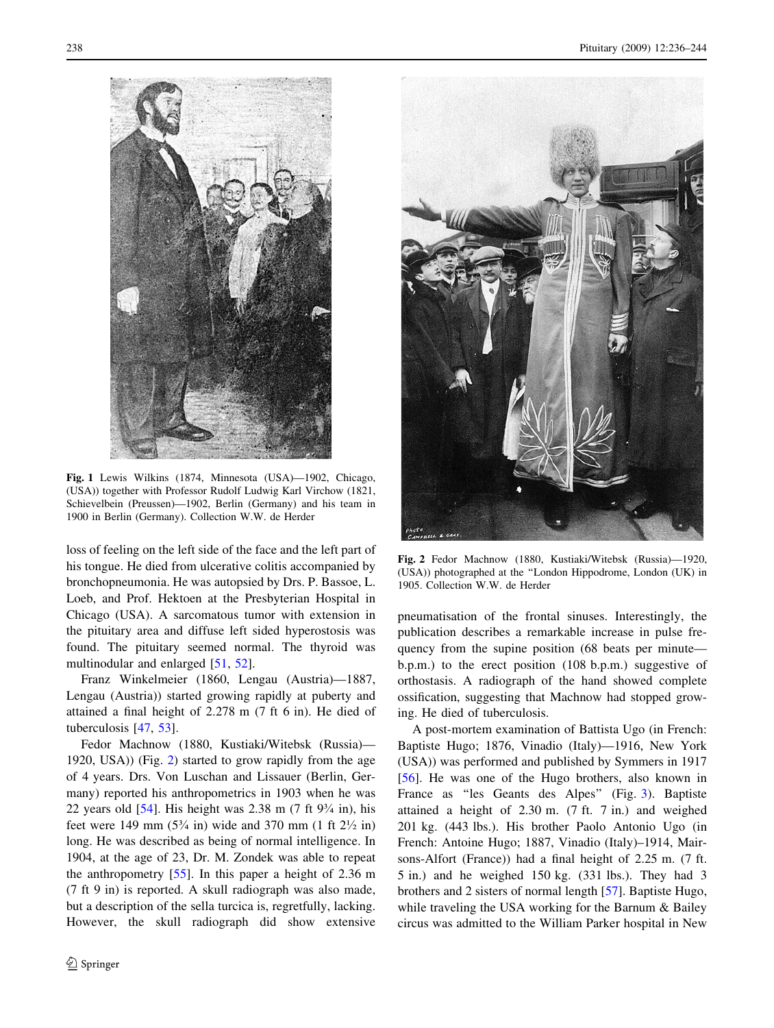<span id="page-2-0"></span>

Fig. 1 Lewis Wilkins (1874, Minnesota (USA)—1902, Chicago, (USA)) together with Professor Rudolf Ludwig Karl Virchow (1821, Schievelbein (Preussen)—1902, Berlin (Germany) and his team in 1900 in Berlin (Germany). Collection W.W. de Herder

loss of feeling on the left side of the face and the left part of his tongue. He died from ulcerative colitis accompanied by bronchopneumonia. He was autopsied by Drs. P. Bassoe, L. Loeb, and Prof. Hektoen at the Presbyterian Hospital in Chicago (USA). A sarcomatous tumor with extension in the pituitary area and diffuse left sided hyperostosis was found. The pituitary seemed normal. The thyroid was multinodular and enlarged [\[51](#page-8-0), [52\]](#page-8-0).

Franz Winkelmeier (1860, Lengau (Austria)—1887, Lengau (Austria)) started growing rapidly at puberty and attained a final height of 2.278 m (7 ft 6 in). He died of tuberculosis [[47,](#page-7-0) [53\]](#page-8-0).

Fedor Machnow (1880, Kustiaki/Witebsk (Russia)— 1920, USA)) (Fig. 2) started to grow rapidly from the age of 4 years. Drs. Von Luschan and Lissauer (Berlin, Germany) reported his anthropometrics in 1903 when he was 22 years old  $[54]$  $[54]$ . His height was 2.38 m (7 ft  $9\frac{3}{4}$  in), his feet were 149 mm  $(5\frac{3}{4}$  in) wide and 370 mm  $(1 \text{ ft } 2\frac{1}{2} \text{ in})$ long. He was described as being of normal intelligence. In 1904, at the age of 23, Dr. M. Zondek was able to repeat the anthropometry [[55\]](#page-8-0). In this paper a height of 2.36 m (7 ft 9 in) is reported. A skull radiograph was also made, but a description of the sella turcica is, regretfully, lacking. However, the skull radiograph did show extensive



Fig. 2 Fedor Machnow (1880, Kustiaki/Witebsk (Russia)—1920, (USA)) photographed at the ''London Hippodrome, London (UK) in 1905. Collection W.W. de Herder

pneumatisation of the frontal sinuses. Interestingly, the publication describes a remarkable increase in pulse frequency from the supine position (68 beats per minute b.p.m.) to the erect position (108 b.p.m.) suggestive of orthostasis. A radiograph of the hand showed complete ossification, suggesting that Machnow had stopped growing. He died of tuberculosis.

A post-mortem examination of Battista Ugo (in French: Baptiste Hugo; 1876, Vinadio (Italy)—1916, New York (USA)) was performed and published by Symmers in 1917 [\[56](#page-8-0)]. He was one of the Hugo brothers, also known in France as ''les Geants des Alpes'' (Fig. [3](#page-3-0)). Baptiste attained a height of 2.30 m. (7 ft. 7 in.) and weighed 201 kg. (443 lbs.). His brother Paolo Antonio Ugo (in French: Antoine Hugo; 1887, Vinadio (Italy)–1914, Mairsons-Alfort (France)) had a final height of 2.25 m. (7 ft. 5 in.) and he weighed 150 kg. (331 lbs.). They had 3 brothers and 2 sisters of normal length [[57\]](#page-8-0). Baptiste Hugo, while traveling the USA working for the Barnum & Bailey circus was admitted to the William Parker hospital in New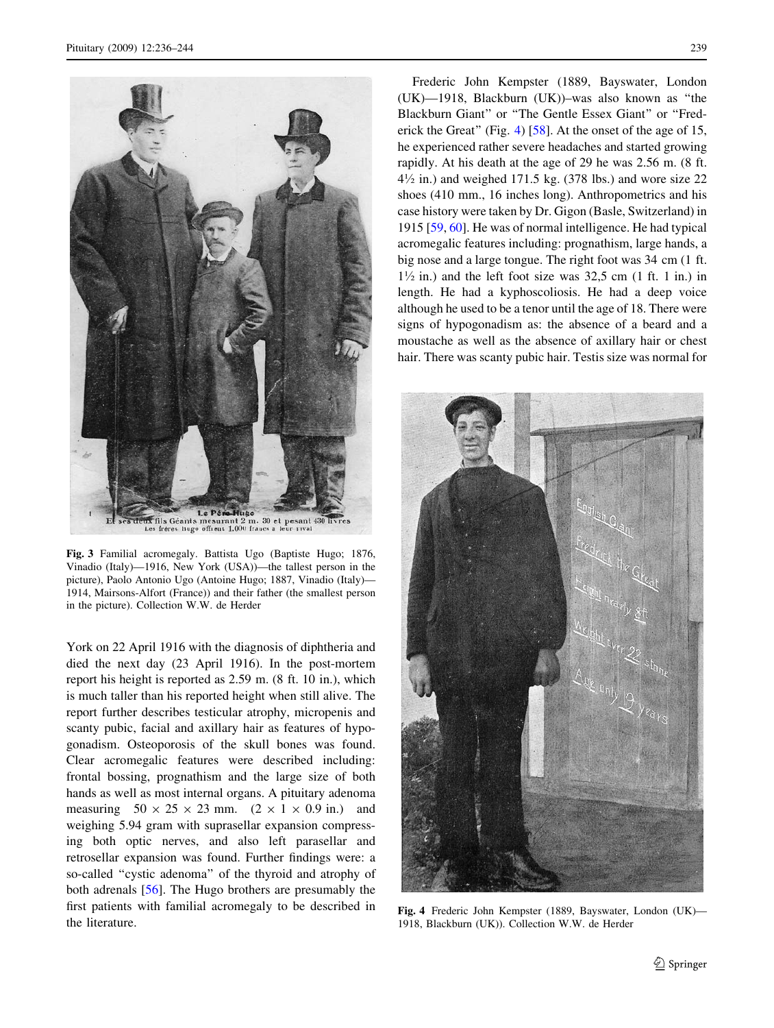<span id="page-3-0"></span>

Fig. 3 Familial acromegaly. Battista Ugo (Baptiste Hugo; 1876, Vinadio (Italy)—1916, New York (USA))—the tallest person in the picture), Paolo Antonio Ugo (Antoine Hugo; 1887, Vinadio (Italy)— 1914, Mairsons-Alfort (France)) and their father (the smallest person in the picture). Collection W.W. de Herder

York on 22 April 1916 with the diagnosis of diphtheria and died the next day (23 April 1916). In the post-mortem report his height is reported as 2.59 m. (8 ft. 10 in.), which is much taller than his reported height when still alive. The report further describes testicular atrophy, micropenis and scanty pubic, facial and axillary hair as features of hypogonadism. Osteoporosis of the skull bones was found. Clear acromegalic features were described including: frontal bossing, prognathism and the large size of both hands as well as most internal organs. A pituitary adenoma measuring  $50 \times 25 \times 23$  mm.  $(2 \times 1 \times 0.9$  in.) and weighing 5.94 gram with suprasellar expansion compressing both optic nerves, and also left parasellar and retrosellar expansion was found. Further findings were: a so-called ''cystic adenoma'' of the thyroid and atrophy of both adrenals [[56](#page-8-0)]. The Hugo brothers are presumably the first patients with familial acromegaly to be described in the literature.

Frederic John Kempster (1889, Bayswater, London (UK)—1918, Blackburn (UK))–was also known as ''the Blackburn Giant'' or ''The Gentle Essex Giant'' or ''Frederick the Great'' (Fig. 4) [\[58](#page-8-0)]. At the onset of the age of 15, he experienced rather severe headaches and started growing rapidly. At his death at the age of 29 he was 2.56 m. (8 ft.  $4\frac{1}{2}$  in.) and weighed 171.5 kg. (378 lbs.) and wore size 22 shoes (410 mm., 16 inches long). Anthropometrics and his case history were taken by Dr. Gigon (Basle, Switzerland) in 1915 [\[59](#page-8-0), [60\]](#page-8-0). He was of normal intelligence. He had typical acromegalic features including: prognathism, large hands, a big nose and a large tongue. The right foot was 34 cm (1 ft.  $1\frac{1}{2}$  in.) and the left foot size was 32,5 cm (1 ft. 1 in.) in length. He had a kyphoscoliosis. He had a deep voice although he used to be a tenor until the age of 18. There were signs of hypogonadism as: the absence of a beard and a moustache as well as the absence of axillary hair or chest hair. There was scanty pubic hair. Testis size was normal for



Fig. 4 Frederic John Kempster (1889, Bayswater, London (UK)— 1918, Blackburn (UK)). Collection W.W. de Herder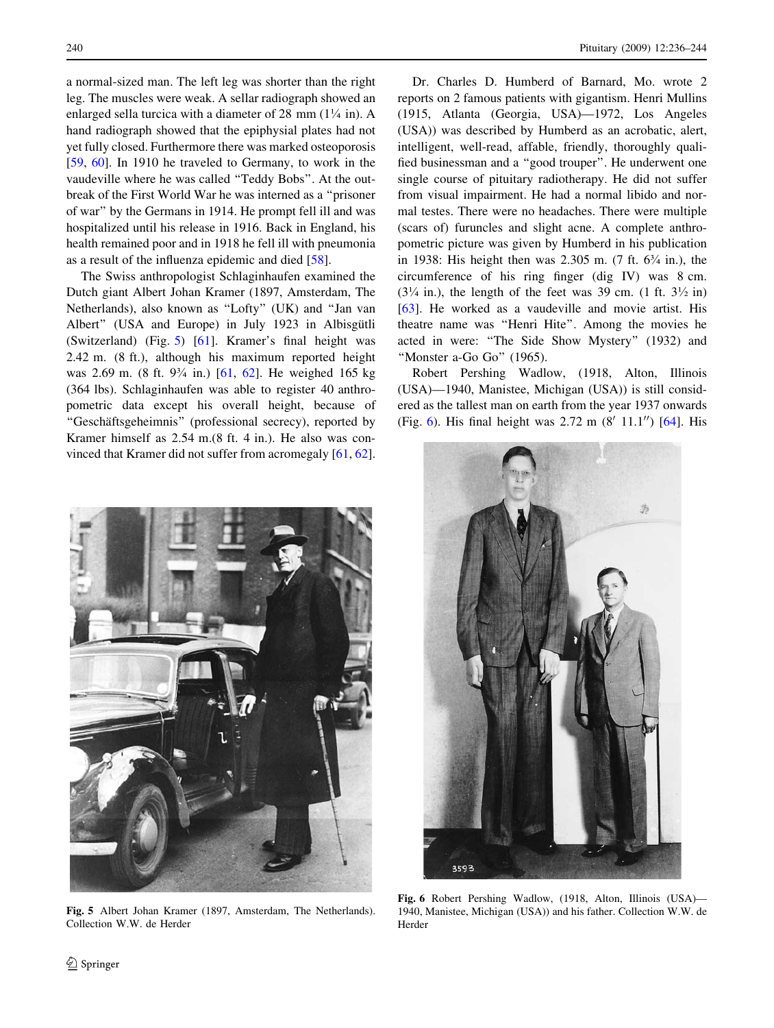a normal-sized man. The left leg was shorter than the right leg. The muscles were weak. A sellar radiograph showed an enlarged sella turcica with a diameter of 28 mm  $(1\frac{1}{4}$  in). A hand radiograph showed that the epiphysial plates had not yet fully closed. Furthermore there was marked osteoporosis [\[59](#page-8-0), [60\]](#page-8-0). In 1910 he traveled to Germany, to work in the vaudeville where he was called ''Teddy Bobs''. At the outbreak of the First World War he was interned as a ''prisoner of war'' by the Germans in 1914. He prompt fell ill and was hospitalized until his release in 1916. Back in England, his health remained poor and in 1918 he fell ill with pneumonia as a result of the influenza epidemic and died [\[58](#page-8-0)].

The Swiss anthropologist Schlaginhaufen examined the Dutch giant Albert Johan Kramer (1897, Amsterdam, The Netherlands), also known as ''Lofty'' (UK) and ''Jan van Albert" (USA and Europe) in July 1923 in Albisgütli (Switzerland) (Fig. 5) [\[61](#page-8-0)]. Kramer's final height was 2.42 m. (8 ft.), although his maximum reported height was 2.69 m. (8 ft. 9<sup>3</sup>/<sub>4</sub> in.) [[61,](#page-8-0) [62](#page-8-0)]. He weighed 165 kg (364 lbs). Schlaginhaufen was able to register 40 anthropometric data except his overall height, because of "Geschäftsgeheimnis" (professional secrecy), reported by Kramer himself as 2.54 m.(8 ft. 4 in.). He also was convinced that Kramer did not suffer from acromegaly [[61,](#page-8-0) [62](#page-8-0)].



Fig. 5 Albert Johan Kramer (1897, Amsterdam, The Netherlands). Collection W.W. de Herder

Dr. Charles D. Humberd of Barnard, Mo. wrote 2 reports on 2 famous patients with gigantism. Henri Mullins (1915, Atlanta (Georgia, USA)—1972, Los Angeles (USA)) was described by Humberd as an acrobatic, alert, intelligent, well-read, affable, friendly, thoroughly qualified businessman and a ''good trouper''. He underwent one single course of pituitary radiotherapy. He did not suffer from visual impairment. He had a normal libido and normal testes. There were no headaches. There were multiple (scars of) furuncles and slight acne. A complete anthropometric picture was given by Humberd in his publication in 1938: His height then was 2.305 m.  $(7 \text{ ft. } 6\frac{3}{4} \text{ in.})$ , the circumference of his ring finger (dig IV) was 8 cm.  $(3\frac{1}{4}$  in.), the length of the feet was 39 cm. (1 ft.  $3\frac{1}{2}$  in) [\[63](#page-8-0)]. He worked as a vaudeville and movie artist. His theatre name was ''Henri Hite''. Among the movies he acted in were: ''The Side Show Mystery'' (1932) and "Monster a-Go Go" (1965).

Robert Pershing Wadlow, (1918, Alton, Illinois (USA)—1940, Manistee, Michigan (USA)) is still considered as the tallest man on earth from the year 1937 onwards (Fig. 6). His final height was  $2.72$  m  $(8' 11.1'')$  [[64\]](#page-8-0). His



Fig. 6 Robert Pershing Wadlow, (1918, Alton, Illinois (USA)— 1940, Manistee, Michigan (USA)) and his father. Collection W.W. de Herder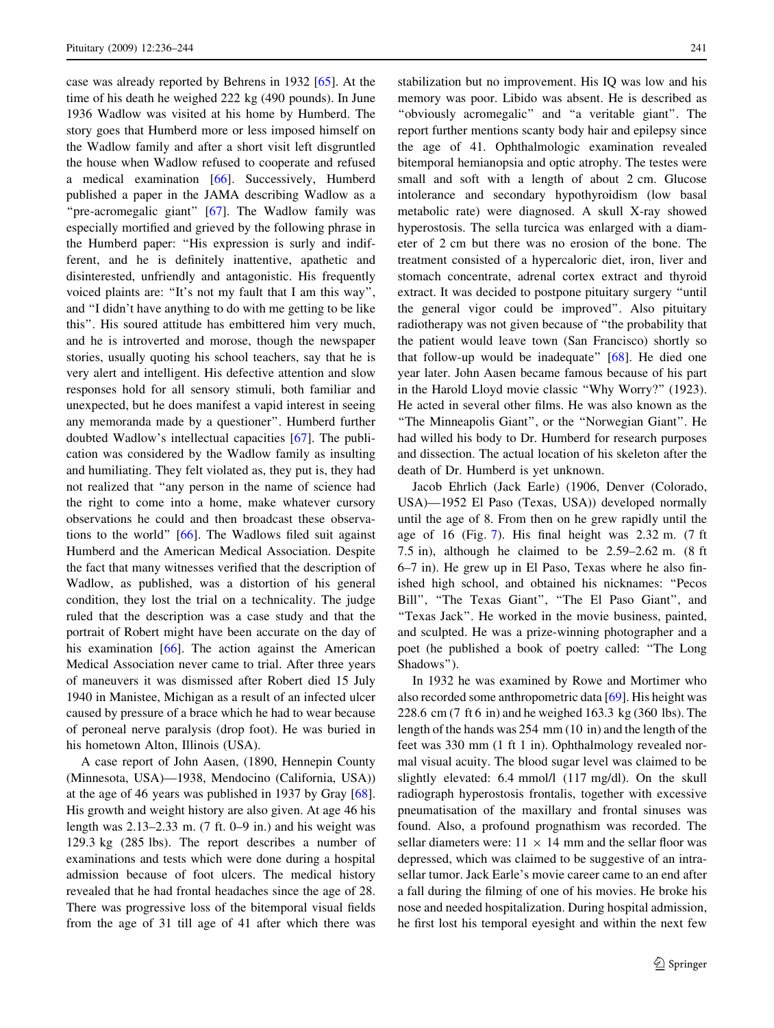case was already reported by Behrens in 1932 [[65\]](#page-8-0). At the time of his death he weighed 222 kg (490 pounds). In June 1936 Wadlow was visited at his home by Humberd. The story goes that Humberd more or less imposed himself on the Wadlow family and after a short visit left disgruntled the house when Wadlow refused to cooperate and refused a medical examination [[66\]](#page-8-0). Successively, Humberd published a paper in the JAMA describing Wadlow as a "pre-acromegalic giant" [\[67](#page-8-0)]. The Wadlow family was especially mortified and grieved by the following phrase in the Humberd paper: ''His expression is surly and indifferent, and he is definitely inattentive, apathetic and disinterested, unfriendly and antagonistic. His frequently voiced plaints are: ''It's not my fault that I am this way'', and ''I didn't have anything to do with me getting to be like this''. His soured attitude has embittered him very much, and he is introverted and morose, though the newspaper stories, usually quoting his school teachers, say that he is very alert and intelligent. His defective attention and slow responses hold for all sensory stimuli, both familiar and unexpected, but he does manifest a vapid interest in seeing any memoranda made by a questioner''. Humberd further doubted Wadlow's intellectual capacities [[67\]](#page-8-0). The publication was considered by the Wadlow family as insulting and humiliating. They felt violated as, they put is, they had not realized that ''any person in the name of science had the right to come into a home, make whatever cursory observations he could and then broadcast these observations to the world'' [[66\]](#page-8-0). The Wadlows filed suit against Humberd and the American Medical Association. Despite the fact that many witnesses verified that the description of Wadlow, as published, was a distortion of his general condition, they lost the trial on a technicality. The judge ruled that the description was a case study and that the portrait of Robert might have been accurate on the day of his examination [\[66](#page-8-0)]. The action against the American Medical Association never came to trial. After three years of maneuvers it was dismissed after Robert died 15 July 1940 in Manistee, Michigan as a result of an infected ulcer caused by pressure of a brace which he had to wear because of peroneal nerve paralysis (drop foot). He was buried in his hometown Alton, Illinois (USA).

A case report of John Aasen, (1890, Hennepin County (Minnesota, USA)—1938, Mendocino (California, USA)) at the age of 46 years was published in 1937 by Gray [\[68](#page-8-0)]. His growth and weight history are also given. At age 46 his length was 2.13–2.33 m. (7 ft. 0–9 in.) and his weight was 129.3 kg (285 lbs). The report describes a number of examinations and tests which were done during a hospital admission because of foot ulcers. The medical history revealed that he had frontal headaches since the age of 28. There was progressive loss of the bitemporal visual fields from the age of 31 till age of 41 after which there was stabilization but no improvement. His IQ was low and his memory was poor. Libido was absent. He is described as "obviously acromegalic" and "a veritable giant". The report further mentions scanty body hair and epilepsy since the age of 41. Ophthalmologic examination revealed bitemporal hemianopsia and optic atrophy. The testes were small and soft with a length of about 2 cm. Glucose intolerance and secondary hypothyroidism (low basal metabolic rate) were diagnosed. A skull X-ray showed hyperostosis. The sella turcica was enlarged with a diameter of 2 cm but there was no erosion of the bone. The treatment consisted of a hypercaloric diet, iron, liver and stomach concentrate, adrenal cortex extract and thyroid extract. It was decided to postpone pituitary surgery ''until the general vigor could be improved''. Also pituitary radiotherapy was not given because of ''the probability that the patient would leave town (San Francisco) shortly so that follow-up would be inadequate'' [[68\]](#page-8-0). He died one year later. John Aasen became famous because of his part in the Harold Lloyd movie classic ''Why Worry?'' (1923). He acted in several other films. He was also known as the ''The Minneapolis Giant'', or the ''Norwegian Giant''. He had willed his body to Dr. Humberd for research purposes and dissection. The actual location of his skeleton after the death of Dr. Humberd is yet unknown.

Jacob Ehrlich (Jack Earle) (1906, Denver (Colorado, USA)—1952 El Paso (Texas, USA)) developed normally until the age of 8. From then on he grew rapidly until the age of 16 (Fig. [7](#page-6-0)). His final height was 2.32 m. (7 ft 7.5 in), although he claimed to be 2.59–2.62 m. (8 ft 6–7 in). He grew up in El Paso, Texas where he also finished high school, and obtained his nicknames: ''Pecos Bill", "The Texas Giant", "The El Paso Giant", and ''Texas Jack''. He worked in the movie business, painted, and sculpted. He was a prize-winning photographer and a poet (he published a book of poetry called: ''The Long Shadows'').

In 1932 he was examined by Rowe and Mortimer who also recorded some anthropometric data [[69\]](#page-8-0). His height was 228.6 cm (7 ft 6 in) and he weighed 163.3 kg (360 lbs). The length of the hands was 254 mm (10 in) and the length of the feet was 330 mm (1 ft 1 in). Ophthalmology revealed normal visual acuity. The blood sugar level was claimed to be slightly elevated: 6.4 mmol/l (117 mg/dl). On the skull radiograph hyperostosis frontalis, together with excessive pneumatisation of the maxillary and frontal sinuses was found. Also, a profound prognathism was recorded. The sellar diameters were:  $11 \times 14$  mm and the sellar floor was depressed, which was claimed to be suggestive of an intrasellar tumor. Jack Earle's movie career came to an end after a fall during the filming of one of his movies. He broke his nose and needed hospitalization. During hospital admission, he first lost his temporal eyesight and within the next few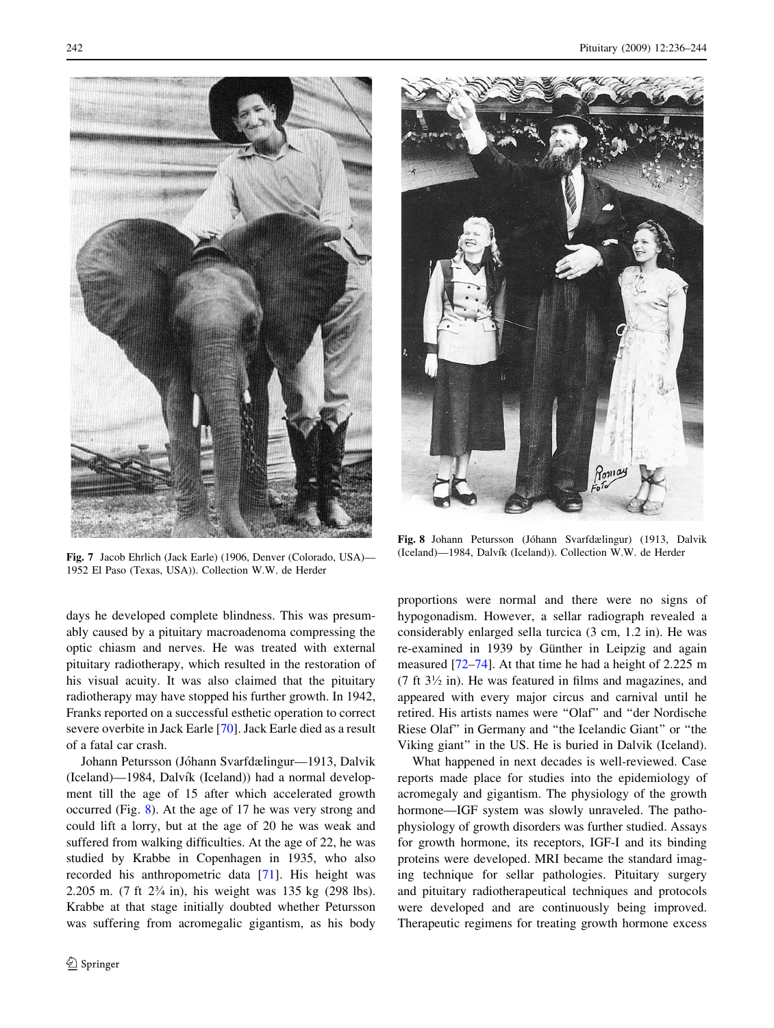<span id="page-6-0"></span>

Fig. 7 Jacob Ehrlich (Jack Earle) (1906, Denver (Colorado, USA)— 1952 El Paso (Texas, USA)). Collection W.W. de Herder

days he developed complete blindness. This was presumably caused by a pituitary macroadenoma compressing the optic chiasm and nerves. He was treated with external pituitary radiotherapy, which resulted in the restoration of his visual acuity. It was also claimed that the pituitary radiotherapy may have stopped his further growth. In 1942, Franks reported on a successful esthetic operation to correct severe overbite in Jack Earle [[70\]](#page-8-0). Jack Earle died as a result of a fatal car crash.

Johann Petursson (Jóhann Svarfdælingur-1913, Dalvik (Iceland)—1984, Dalvı´k (Iceland)) had a normal development till the age of 15 after which accelerated growth occurred (Fig. 8). At the age of 17 he was very strong and could lift a lorry, but at the age of 20 he was weak and suffered from walking difficulties. At the age of 22, he was studied by Krabbe in Copenhagen in 1935, who also recorded his anthropometric data [[71\]](#page-8-0). His height was 2.205 m. (7 ft 2<sup>3</sup>/<sub>4</sub> in), his weight was 135 kg (298 lbs). Krabbe at that stage initially doubted whether Petursson was suffering from acromegalic gigantism, as his body



Fig. 8 Johann Petursson (Jóhann Svarfdælingur) (1913, Dalvik (Iceland)—1984, Dalvı´k (Iceland)). Collection W.W. de Herder

proportions were normal and there were no signs of hypogonadism. However, a sellar radiograph revealed a considerably enlarged sella turcica (3 cm, 1.2 in). He was re-examined in 1939 by Günther in Leipzig and again measured [[72–74\]](#page-8-0). At that time he had a height of 2.225 m (7 ft  $3\frac{1}{2}$  in). He was featured in films and magazines, and appeared with every major circus and carnival until he retired. His artists names were ''Olaf'' and ''der Nordische Riese Olaf'' in Germany and ''the Icelandic Giant'' or ''the Viking giant'' in the US. He is buried in Dalvik (Iceland).

What happened in next decades is well-reviewed. Case reports made place for studies into the epidemiology of acromegaly and gigantism. The physiology of the growth hormone—IGF system was slowly unraveled. The pathophysiology of growth disorders was further studied. Assays for growth hormone, its receptors, IGF-I and its binding proteins were developed. MRI became the standard imaging technique for sellar pathologies. Pituitary surgery and pituitary radiotherapeutical techniques and protocols were developed and are continuously being improved. Therapeutic regimens for treating growth hormone excess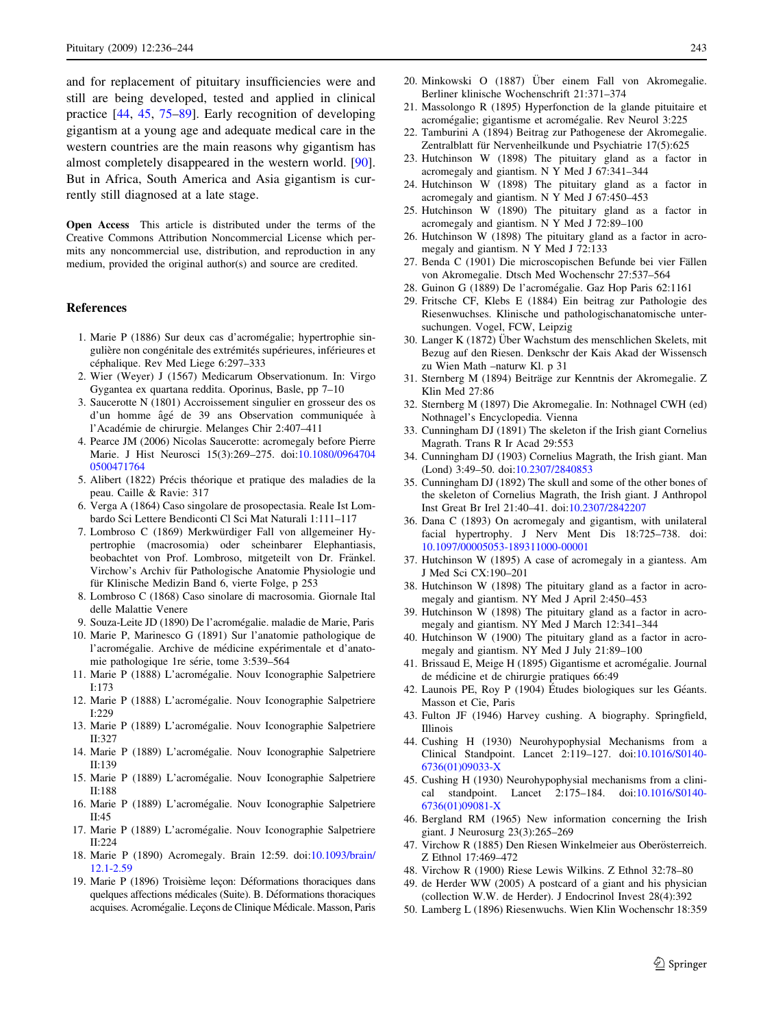<span id="page-7-0"></span>and for replacement of pituitary insufficiencies were and still are being developed, tested and applied in clinical practice [44, 45, [75–89\]](#page-8-0). Early recognition of developing gigantism at a young age and adequate medical care in the western countries are the main reasons why gigantism has almost completely disappeared in the western world. [\[90](#page-8-0)]. But in Africa, South America and Asia gigantism is currently still diagnosed at a late stage.

Open Access This article is distributed under the terms of the Creative Commons Attribution Noncommercial License which permits any noncommercial use, distribution, and reproduction in any medium, provided the original author(s) and source are credited.

## References

- 1. Marie P (1886) Sur deux cas d'acromégalie; hypertrophie singulière non congénitale des extrémités supérieures, inférieures et céphalique. Rev Med Liege 6:297-333
- 2. Wier (Weyer) J (1567) Medicarum Observationum. In: Virgo Gygantea ex quartana reddita. Oporinus, Basle, pp 7–10
- 3. Saucerotte N (1801) Accroissement singulier en grosseur des os d'un homme âgé de 39 ans Observation communiquée à l'Acade´mie de chirurgie. Melanges Chir 2:407–411
- 4. Pearce JM (2006) Nicolas Saucerotte: acromegaly before Pierre Marie. J Hist Neurosci 15(3):269–275. doi:[10.1080/0964704](http://dx.doi.org/10.1080/09647040500471764) [0500471764](http://dx.doi.org/10.1080/09647040500471764)
- 5. Alibert (1822) Précis théorique et pratique des maladies de la peau. Caille & Ravie: 317
- 6. Verga A (1864) Caso singolare de prosopectasia. Reale Ist Lombardo Sci Lettere Bendiconti Cl Sci Mat Naturali 1:111–117
- 7. Lombroso C (1869) Merkwürdiger Fall von allgemeiner Hypertrophie (macrosomia) oder scheinbarer Elephantiasis, beobachtet von Prof. Lombroso, mitgeteilt von Dr. Fränkel. Virchow's Archiv für Pathologische Anatomie Physiologie und für Klinische Medizin Band 6, vierte Folge, p 253
- 8. Lombroso C (1868) Caso sinolare di macrosomia. Giornale Ital delle Malattie Venere
- 9. Souza-Leite JD (1890) De l'acromégalie. maladie de Marie, Paris
- 10. Marie P, Marinesco G (1891) Sur l'anatomie pathologique de l'acromégalie. Archive de médicine expérimentale et d'anatomie pathologique 1 re série, tome 3:539–564
- 11. Marie P (1888) L'acromégalie. Nouv Iconographie Salpetriere I:173
- 12. Marie P (1888) L'acromégalie. Nouv Iconographie Salpetriere I:229
- 13. Marie P (1889) L'acromégalie. Nouv Iconographie Salpetriere II:327
- 14. Marie P (1889) L'acromégalie. Nouv Iconographie Salpetriere II:139
- 15. Marie P (1889) L'acromégalie. Nouv Iconographie Salpetriere II:188
- 16. Marie P (1889) L'acromégalie. Nouv Iconographie Salpetriere II:45
- 17. Marie P (1889) L'acromégalie. Nouv Iconographie Salpetriere II:224
- 18. Marie P (1890) Acromegaly. Brain 12:59. doi[:10.1093/brain/](http://dx.doi.org/10.1093/brain/12.1-2.59) [12.1-2.59](http://dx.doi.org/10.1093/brain/12.1-2.59)
- 19. Marie P (1896) Troisième leçon: Déformations thoraciques dans quelques affections médicales (Suite). B. Déformations thoraciques acquises. Acromégalie. Leçons de Clinique Médicale. Masson, Paris
- 20. Minkowski O (1887) Über einem Fall von Akromegalie. Berliner klinische Wochenschrift 21:371–374
- 21. Massolongo R (1895) Hyperfonction de la glande pituitaire et acromégalie; gigantisme et acromégalie. Rev Neurol 3:225
- 22. Tamburini A (1894) Beitrag zur Pathogenese der Akromegalie. Zentralblatt für Nervenheilkunde und Psychiatrie 17(5):625
- 23. Hutchinson W (1898) The pituitary gland as a factor in acromegaly and giantism. N Y Med J 67:341–344
- 24. Hutchinson W (1898) The pituitary gland as a factor in acromegaly and giantism. N Y Med J 67:450–453
- 25. Hutchinson W (1890) The pituitary gland as a factor in acromegaly and giantism. N Y Med J 72:89–100
- 26. Hutchinson W (1898) The pituitary gland as a factor in acromegaly and giantism. N Y Med J 72:133
- 27. Benda C (1901) Die microscopischen Befunde bei vier Fällen von Akromegalie. Dtsch Med Wochenschr 27:537–564
- 28. Guinon G (1889) De l'acromégalie. Gaz Hop Paris 62:1161
- 29. Fritsche CF, Klebs E (1884) Ein beitrag zur Pathologie des Riesenwuchses. Klinische und pathologischanatomische untersuchungen. Vogel, FCW, Leipzig
- 30. Langer K (1872) Über Wachstum des menschlichen Skelets, mit Bezug auf den Riesen. Denkschr der Kais Akad der Wissensch zu Wien Math –naturw Kl. p 31
- 31. Sternberg M (1894) Beiträge zur Kenntnis der Akromegalie. Z Klin Med 27:86
- 32. Sternberg M (1897) Die Akromegalie. In: Nothnagel CWH (ed) Nothnagel's Encyclopedia. Vienna
- 33. Cunningham DJ (1891) The skeleton if the Irish giant Cornelius Magrath. Trans R Ir Acad 29:553
- 34. Cunningham DJ (1903) Cornelius Magrath, the Irish giant. Man (Lond) 3:49–50. doi:[10.2307/2840853](http://dx.doi.org/10.2307/2840853)
- 35. Cunningham DJ (1892) The skull and some of the other bones of the skeleton of Cornelius Magrath, the Irish giant. J Anthropol Inst Great Br Irel 21:40–41. doi:[10.2307/2842207](http://dx.doi.org/10.2307/2842207)
- 36. Dana C (1893) On acromegaly and gigantism, with unilateral facial hypertrophy. J Nerv Ment Dis 18:725–738. doi: [10.1097/00005053-189311000-00001](http://dx.doi.org/10.1097/00005053-189311000-00001)
- 37. Hutchinson W (1895) A case of acromegaly in a giantess. Am J Med Sci CX:190–201
- 38. Hutchinson W (1898) The pituitary gland as a factor in acromegaly and giantism. NY Med J April 2:450–453
- 39. Hutchinson W (1898) The pituitary gland as a factor in acromegaly and giantism. NY Med J March 12:341–344
- 40. Hutchinson W (1900) The pituitary gland as a factor in acromegaly and giantism. NY Med J July 21:89–100
- 41. Brissaud E, Meige H (1895) Gigantisme et acromégalie. Journal de médicine et de chirurgie pratiques 66:49
- 42. Launois PE, Roy P (1904) Études biologiques sur les Géants. Masson et Cie, Paris
- 43. Fulton JF (1946) Harvey cushing. A biography. Springfield, Illinois
- 44. Cushing H (1930) Neurohypophysial Mechanisms from a Clinical Standpoint. Lancet 2:119–127. doi:[10.1016/S0140-](http://dx.doi.org/10.1016/S0140-6736(01)09033-X) [6736\(01\)09033-X](http://dx.doi.org/10.1016/S0140-6736(01)09033-X)
- 45. Cushing H (1930) Neurohypophysial mechanisms from a clinical standpoint. Lancet 2:175–184. doi:[10.1016/S0140-](http://dx.doi.org/10.1016/S0140-6736(01)09081-X) [6736\(01\)09081-X](http://dx.doi.org/10.1016/S0140-6736(01)09081-X)
- 46. Bergland RM (1965) New information concerning the Irish giant. J Neurosurg 23(3):265–269
- 47. Virchow R (1885) Den Riesen Winkelmeier aus Oberösterreich. Z Ethnol 17:469–472
- 48. Virchow R (1900) Riese Lewis Wilkins. Z Ethnol 32:78–80
- 49. de Herder WW (2005) A postcard of a giant and his physician (collection W.W. de Herder). J Endocrinol Invest 28(4):392
- 50. Lamberg L (1896) Riesenwuchs. Wien Klin Wochenschr 18:359